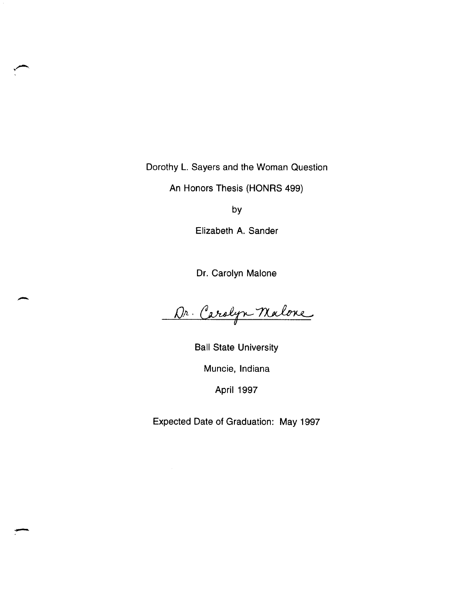Dorothy L. Sayers and the Woman Question

An Honors Thesis (HONRS 499)

by

Elizabeth A. Sander

Dr. Carolyn Malone

Dr. Carolyn Malone

-

.-

Ball State University Muncie, Indiana April 1997

Expected Date of Graduation: May 1997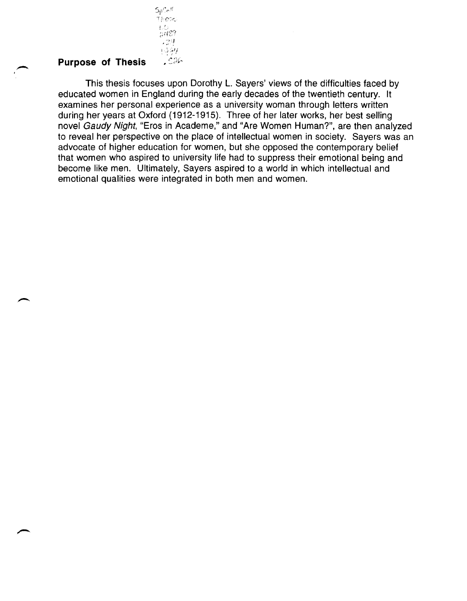# **Purpose of Thesis**

 $5p$ Coll  $\dot{\tau}_{i:esc}$  $L^{\prime}$ .  $2439$ , 24<br>19*월* 

 $-526$ 

This thesis focuses upon Dorothy L. Sayers' views of the difficulties faced by educated women in England during the early decades of the twentieth century. It examines her personal experience as a university woman through letters written during her years at Oxford (1912-1915). Three of her later works, her best selling novel Gaudy Night, "Eros in Academe," and "Are Women Human?", are then analyzed to reveal her perspective on the place of intellectual women in society. Sayers was an advocate of higher education for women, but she opposed the contemporary belief that women who aspired to university life had to suppress their emotional being and become like men. Ultimately, Sayers aspired to a world in which intellectual and emotional qualities were integrated in both men and women.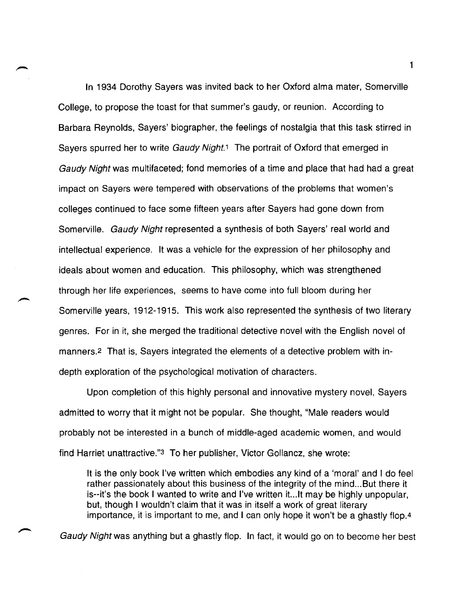In 1934 Dorothy Sayers was invited back to her Oxford alma mater, Somerville College, to propose the toast for that summer's gaudy, or reunion. According to Barbara Reynolds, Sayers' biographer, the feelings of nostalgia that this task stirred in Sayers spurred her to write Gaudy Night.<sup>1</sup> The portrait of Oxford that emerged in Gaudy Night was multifaceted; fond memories of a time and place that had had a great impact on Sayers were tempered with observations of the problems that women's colleges continued to face some fifteen years after Sayers had gone down from Somerville. Gaudy Night represented a synthesis of both Sayers' real world and intellectual experience. It was a vehicle for the expression of her philosophy and ideals about women and education. This philosophy, which was strengthened through her life experiences, seems to have come into full bloom during her Somerville years, 1912-1915. This work also represented the synthesis of two literary genres. For in it, she merged the traditional detective novel with the English novel of manners.2 That is, Sayers integrated the elements of a detective problem with indepth exploration of the psychological motivation of characters.

Upon completion of this highly personal and innovative mystery novel, Sayers admitted to worry that it might not be popular. She thought, "Male readers would probably not be interested in a bunch of middle-aged academic women, and would find Harriet unattractive."3 To her publisher, Victor Gollancz, she wrote:

It is the only book I've written which embodies any kind of a 'moral' and I do feel rather passionately about this business of the integrity of the mind... But there it is--it's the book I wanted to write and I've written it...lt may be highly unpopular, but, though I wouldn't claim that it was in itself a work of great literary importance, it is important to me, and I can only hope it won't be a ghastly flop.4

Gaudy Night was anything but a ghastly flop. In fact, it would go on to become her best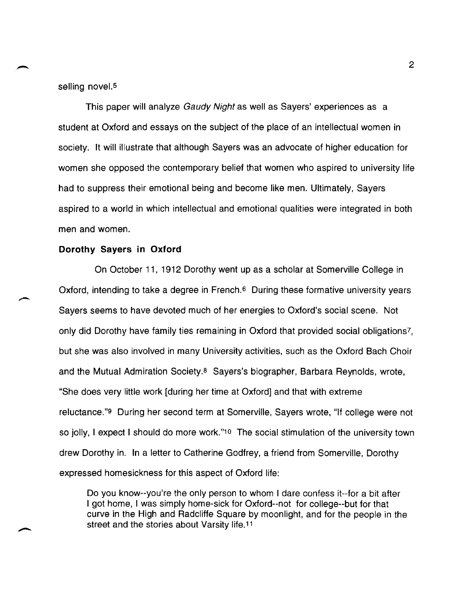selling novel.<sup>5</sup>

This paper will analyze Gaudy Night as well as Sayers' experiences as a student at Oxford and essays on the subject of the place of an intellectual women in society. It will illustrate that although Sayers was an advocate of higher education for women she opposed the contemporary belief that women who aspired to university life had to suppress their emotional being and become like men. Ultimately, Sayers aspired to a world in which intellectual and emotional qualities were integrated in both men and women.

#### **Dorothy Sayers in Oxford**

On October 11, 1912 Dorothy went up as a scholar at Somerville College in Oxford, intending to take a degree in French.<sup>6</sup> During these formative university years Sayers seems to have devoted much of her energies to Oxford's social scene. Not only did Dorothy have family ties remaining in Oxford that provided social obligations?, but she was also involved in many University activities, such as the Oxford Bach Choir and the Mutual Admiration Society.8 Sayers's biographer, Barbara Reynolds, wrote, "She does very little work [during her time at Oxford] and that with extreme reluctance."9 During her second term at Somerville, Sayers wrote, "If college were not so jolly, I expect I should do more work."1o The social stimulation of the university town drew Dorothy in. In a letter to Catherine Godfrey, a friend from Somerville, Dorothy expressed homesickness for this aspect of Oxford life:

Do you know--you're the only person to whom I dare confess it--for a bit after I got home, I was simply home-sick for Oxford--not for college--but for that curve in the High and Radcliffe Square by moonlight, and for the people in the street and the stories about Varsity life. <sup>11</sup>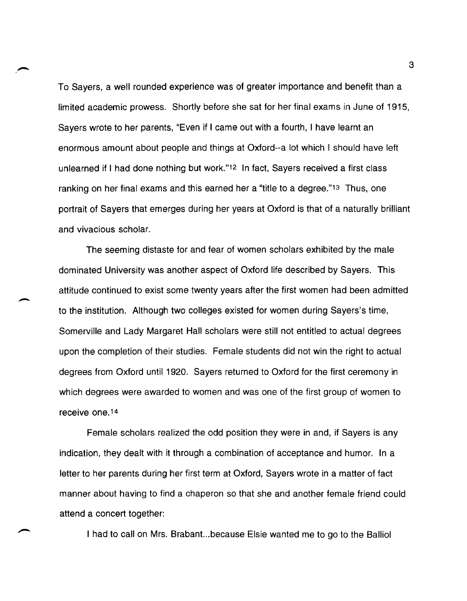To Sayers, a well rounded experience was of greater importance and benefit than a limited academic prowess. Shortly before she sat for her final exams in June of 1915, Sayers wrote to her parents, "Even if I came out with a fourth, I have learnt an enormous amount about people and things at Oxford--a lot which I should have left unlearned if I had done nothing but work."12 In fact, Sayers received a first class ranking on her final exams and this earned her a "title to a degree."13 Thus, one portrait of Sayers that emerges during her years at Oxford is that of a naturally brilliant and vivacious scholar.

The seeming distaste for and fear of women scholars exhibited by the male dominated University was another aspect of Oxford life described by Sayers. This attitude continued to exist some twenty years after the first women had been admitted to the institution. Although two colleges existed for women during Sayers's time, Somerville and Lady Margaret Hall scholars were still not entitled to actual degrees upon the completion of their studies. Female students did not win the right to actual degrees from Oxford until 1920. Sayers returned to Oxford for the first ceremony in which degrees were awarded to women and was one of the first group of women to receive one. 14

Female scholars realized the odd position they were in and, if Sayers is any indication, they dealt with it through a combination of acceptance and humor. In a letter to her parents during her first term at Oxford, Sayers wrote in a matter of fact manner about having to find a chaperon so that she and another female friend could attend a concert together:

I had to call on Mrs. Brabant...because Elsie wanted me to go to the Balliol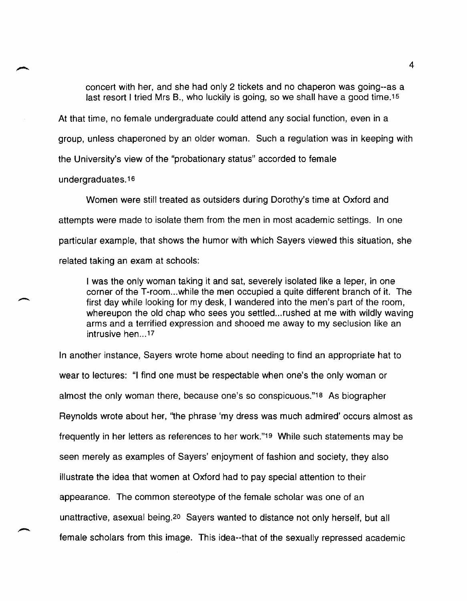concert with her, and she had only 2 tickets and no chaperon was going--as a last resort I tried Mrs B., who luckily is going, so we shall have a good time.<sup>15</sup>

At that time, no female undergraduate could attend any social function, even in a group, unless chaperoned by an older woman. Such a regulation was in keeping with the University's view of the "probationary status" accorded to female

undergraduates. 16

 $\overline{\phantom{a}}$ 

Women were still treated as outsiders during Dorothy's time at Oxford and attempts were made to isolate them from the men in most academic settings. In one particular example, that shows the humor with which Sayers viewed this situation, she related taking an exam at schools:

I was the only woman taking it and sat, severely isolated like a leper, in one corner of the T-room...while the men occupied a quite different branch of it. The first day while looking for my desk, I wandered into the men's part of the room, whereupon the old chap who sees you settled...rushed at me with wildly waving arms and a terrified expression and shooed me away to my seclusion like an intrusive hen ... 17

In another instance, Sayers wrote home about needing to find an appropriate hat to wear to lectures: "I find one must be respectable when one's the only woman or almost the only woman there, because one's so conspicuous."18 As biographer Reynolds wrote about her, "the phrase 'my dress was much admired' occurs almost as frequently in her letters as references to her work."1g While such statements may be seen merely as examples of Sayers' enjoyment of fashion and society, they also illustrate the idea that women at Oxford had to pay special attention to their appearance. The common stereotype of the female scholar was one of an unattractive, asexual being.2o Sayers wanted to distance not only herself, but all female scholars from this image. This idea--that of the sexually repressed academic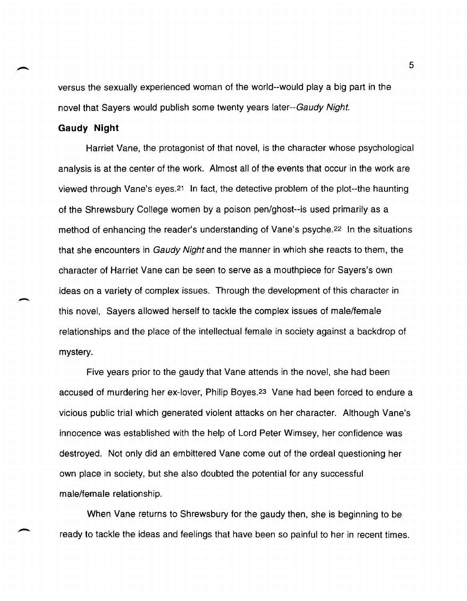versus the sexually experienced woman of the world--would playa big part in the novel that Sayers would publish some twenty years later--Gaudy Night.

#### **Gaudy Night**

-

Harriet Vane, the protagonist of that novel, is the character whose psychological analysis is at the center of the work. Almost all of the events that occur in the work are viewed through Vane's eyes. 21 In fact, the detective problem of the plot--the haunting of the Shrewsbury College women by a poison pen/ghost--is used primarily as a method of enhancing the reader's understanding of Vane's psyche. 22 In the situations that she encounters in *Gaudy Night* and the manner in which she reacts to them, the character of Harriet Vane can be seen to serve as a mouthpiece for Sayers's own ideas on a variety of complex issues. Through the development of this character in this novel, Sayers allowed herself to tackle the complex issues of male/female relationships and the place of the intellectual female in society against a backdrop of mystery.

Five years prior to the gaudy that Vane attends in the novel, she had been accused of murdering her ex-lover, Philip Boyes.23 Vane had been forced to endure a vicious public trial which generated violent attacks on her character. Although Vane's innocence was established with the help of Lord Peter Wimsey, her confidence was destroyed. Not only did an embittered Vane come out of the ordeal questioning her own place in society, but she also doubted the potential for any successful male/female relationship.

When Vane returns to Shrewsbury for the gaudy then, she is beginning to be ready to tackle the ideas and feelings that have been so painful to her in recent times.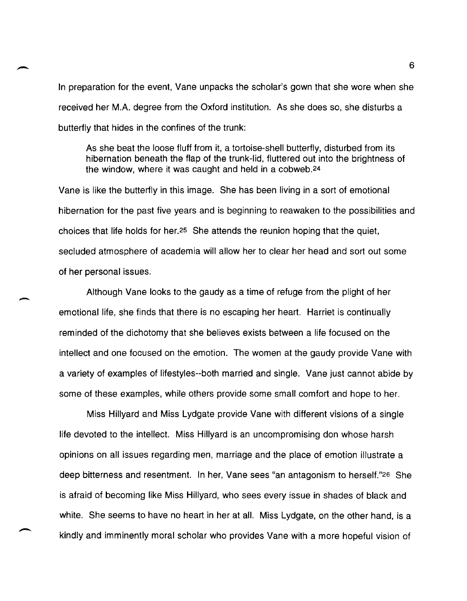In preparation for the event, Vane unpacks the scholar's gown that she wore when she received her M.A. degree from the Oxford institution. As she does so, she disturbs a butterfly that hides in the confines of the trunk:

As she beat the loose fluff from it, a tortoise-shell butterfly, disturbed from its hibernation beneath the flap of the trunk-lid, fluttered out into the brightness of the window, where it was caught and held in a cobweb.24

Vane is like the butterfly in this image. She has been living in a sort of emotional hibernation for the past five years and is beginning to reawaken to the possibilities and choices that life holds for her.25 She attends the reunion hoping that the quiet, secluded atmosphere of academia will allow her to clear her head and sort out some of her personal issues.

Although Vane looks to the gaudy as a time of refuge from the plight of her emotional life, she finds that there is no escaping her heart. Harriet is continually reminded of the dichotomy that she believes exists between a life focused on the intellect and one focused on the emotion. The women at the gaudy provide Vane with a variety of examples of lifestyles--both married and single. Vane just cannot abide by some of these examples, while others provide some small comfort and hope to her.

-

Miss Hillyard and Miss Lydgate provide Vane with different visions of a single life devoted to the intellect. Miss Hillyard is an uncompromising don whose harsh opinions on all issues regarding men, marriage and the place of emotion illustrate a deep bitterness and resentment. In her, Vane sees "an antagonism to herself."26 She is afraid of becoming like Miss Hillyard, who sees every issue in shades of black and white. She seems to have no heart in her at all. Miss Lydgate, on the other hand, is a kindly and imminently moral scholar who provides Vane with a more hopeful vision of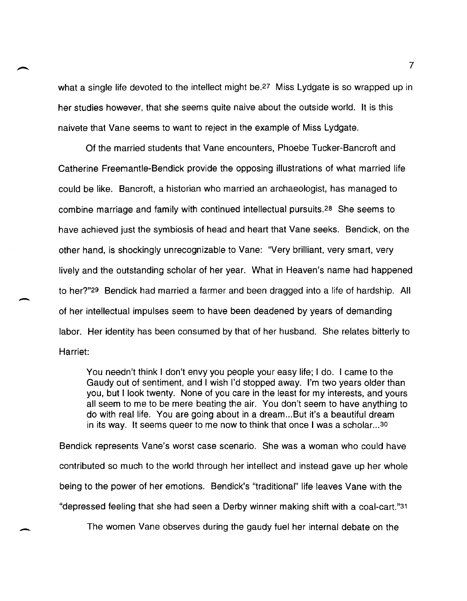what a single life devoted to the intellect might be.<sup>27</sup> Miss Lydgate is so wrapped up in her studies however, that she seems quite naive about the outside world. It is this naivete that Vane seems to want to reject in the example of Miss Lydgate.

Of the married students that Vane encounters, Phoebe Tucker-Bancroft and Catherine Freemantle-Bendick provide the opposing illustrations of what married life could be like. Bancroft, a historian who married an archaeologist, has managed to combine marriage and family with continued intellectual pursuits.28 She seems to have achieved just the symbiosis of head and heart that Vane seeks. Bendick, on the other hand, is shockingly unrecognizable to Vane: "Very brilliant, very smart, very lively and the outstanding scholar of her year. What in Heaven's name had happened to her?"29 Bendick had married a farmer and been dragged into a life of hardship. All of her intellectual impulses seem to have been deadened by years of demanding labor. Her identity has been consumed by that of her husband. She relates bitterly to Harriet:

You needn't think I don't envy you people your easy life; I do. I came to the Gaudy out of sentiment, and I wish I'd stopped away. I'm two years older than you, but I look twenty. None of you care in the least for my interests, and yours all seem to me to be mere beating the air. You don't seem to have anything to do with real life. You are going about in a dream ... But it's a beautiful dream in its way. It seems queer to me now to think that once I was a scholar...<sup>30</sup>

Bendick represents Vane's worst case scenario. She was a woman who could have contributed so much to the world through her intellect and instead gave up her whole being to the power of her emotions. Bendick's "traditional" life leaves Vane with the "depressed feeling that she had seen a Derby winner making shift with a coal-cart."31

-

The women Vane observes during the gaudy fuel her internal debate on the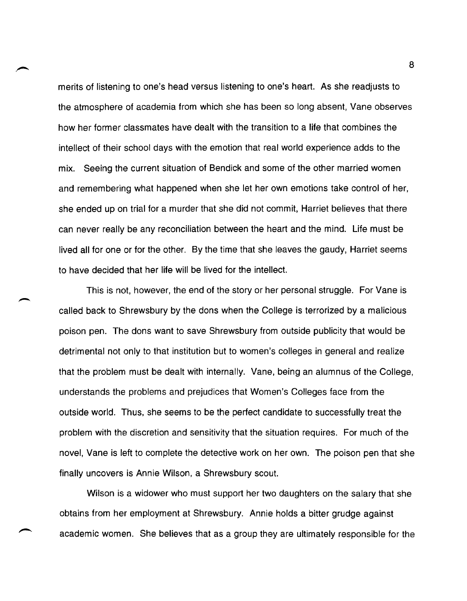merits of listening to one's head versus listening to one's heart. As she readjusts to the atmosphere of academia from which she has been so long absent, Vane observes how her former classmates have dealt with the transition to a life that combines the intellect of their school days with the emotion that real world experience adds to the mix. Seeing the current situation of Bendick and some of the other married women and remembering what happened when she let her own emotions take control of her, she ended up on trial for a murder that she did not commit, Harriet believes that there can never really be any reconciliation between the heart and the mind. Life must be lived all for one or for the other. By the time that she leaves the gaudy, Harriet seems to have decided that her life will be lived for the intellect.

This is not, however, the end of the story or her personal struggle. For Vane is called back to Shrewsbury by the dons when the College is terrorized by a malicious poison pen. The dons want to save Shrewsbury from outside publicity that would be detrimental not only to that institution but to women's colleges in general and realize that the problem must be dealt with internally. Vane, being an alumnus of the College, understands the problems and prejudices that Women's Colleges face from the outside world. Thus, she seems to be the perfect candidate to successfully treat the problem with the discretion and sensitivity that the situation requires. For much of the novel, Vane is left to complete the detective work on her own. The poison pen that she finally uncovers is Annie Wilson, a Shrewsbury scout.

Wilson is a widower who must support her two daughters on the salary that she obtains from her employment at Shrewsbury. Annie holds a bitter grudge against academic women. She believes that as a group they are ultimately responsible for the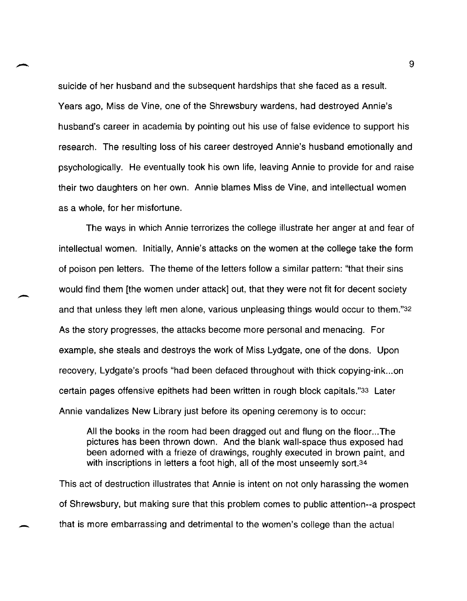suicide of her husband and the subsequent hardships that she faced as a result. Years ago, Miss de Vine, one of the Shrewsbury wardens, had destroyed Annie's husband's career in academia by pointing out his use of false evidence to support his research. The resulting loss of his career destroyed Annie's husband emotionally and psychologically. He eventually took his own life, leaving Annie to provide for and raise their two daughters on her own. Annie blames Miss de Vine, and intellectual women as a whole, for her misfortune.

The ways in which Annie terrorizes the college illustrate her anger at and fear of intellectual women. Initially, Annie's attacks on the women at the college take the form of poison pen letters. The theme of the letters follow a similar pattern: "that their sins would find them [the women under attack] out, that they were not fit for decent society and that unless they left men alone, various unpleasing things would occur to them."32 As the story progresses, the attacks become more personal and menacing. For example, she steals and destroys the work of Miss Lydgate, one of the dons. Upon recovery, Lydgate's proofs "had been defaced throughout with thick copying-ink ... on certain pages offensive epithets had been written in rough block capitals."33 Later Annie vandalizes New Library just before its opening ceremony is to occur:

All the books in the room had been dragged out and flung on the floor ... The pictures has been thrown down. And the blank wall-space thus exposed had been adorned with a frieze of drawings, roughly executed in brown paint, and with inscriptions in letters a foot high, all of the most unseemly sort.34

This act of destruction illustrates that Annie is intent on not only harassing the women of Shrewsbury, but making sure that this problem comes to public attention--a prospect that is more embarrassing and detrimental to the women's college than the actual

-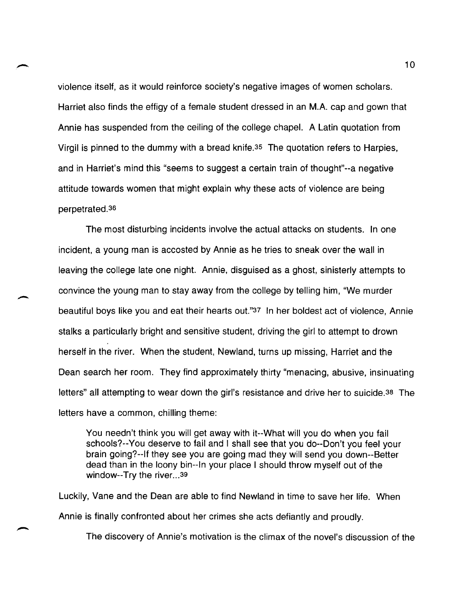violence itself, as it would reinforce society's negative images of women scholars. Harriet also finds the effigy of a female student dressed in an M.A. cap and gown that Annie has suspended from the ceiling of the college chapel. A Latin quotation from Virgil is pinned to the dummy with a bread knife.35 The quotation refers to Harpies, and in Harriet's mind this "seems to suggest a certain train of thought"--a negative attitude towards women that might explain why these acts of violence are being perpetrated.36

The most disturbing incidents involve the actual attacks on students. In one incident, a young man is accosted by Annie as he tries to sneak over the wall in leaving the college late one night. Annie, disguised as a ghost, sinisterly attempts to convince the young man to stay away from the college by telling him, "We murder beautiful boys like you and eat their hearts out."37 In her boldest act of violence, Annie stalks a particularly bright and sensitive student, driving the girl to attempt to drown herself in the river. When the student, Newland, turns up missing, Harriet and the Dean search her room. They find approximately thirty "menacing, abusive, insinuating letters" all attempting to wear down the girl's resistance and drive her to suicide.38 The letters have a common, chilling theme:

You needn't think you will get away with it--What will you do when you fail schools?--You deserve to fail and I shall see that you do--Don't you feel your brain going?--If they see you are going mad they will send you down--Better dead than in the loony bin--In your place I should throw myself out of the window--Try the river... 39

Luckily, Vane and the Dean are able to find Newland in time to save her life. When Annie is finally confronted about her crimes she acts defiantly and proudly.

The discovery of Annie's motivation is the climax of the novel's discussion of the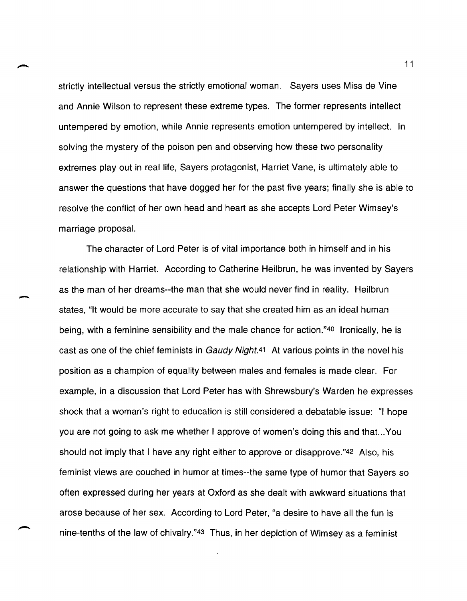strictly intellectual versus the strictly emotional woman. Sayers uses Miss de Vine and Annie Wilson to represent these extreme types. The former represents intellect untempered by emotion, while Annie represents emotion untempered by intellect. In solving the mystery of the poison pen and observing how these two personality extremes play out in real life, Sayers protagonist, Harriet Vane, is ultimately able to answer the questions that have dogged her for the past five years; finally she is able to resolve the conflict of her own head and heart as she accepts Lord Peter Wimsey's marriage proposal.

The character of Lord Peter is of vital importance both in himself and in his relationship with Harriet. According to Catherine Heilbrun, he was invented by Sayers as the man of her dreams--the man that she would never find in reality. Heilbrun states, "It would be more accurate to say that she created him as an ideal human being, with a feminine sensibility and the male chance for action."40 Ironically, he is cast as one of the chief feminists in Gaudy Night.<sup>41</sup> At various points in the novel his position as a champion of equality between males and females is made clear. For example, in a discussion that Lord Peter has with Shrewsbury's Warden he expresses shock that a woman's right to education is still considered a debatable issue: "I hope you are not going to ask me whether I approve of women's doing this and that...You should not imply that I have any right either to approve or disapprove."42 Also, his feminist views are couched in humor at times--the same type of humor that Sayers so often expressed during her years at Oxford as she dealt with awkward situations that arose because of her sex. According to Lord Peter, "a desire to have all the fun is nine-tenths of the law of chivalry."43 Thus, in her depiction of Wimsey as a feminist

-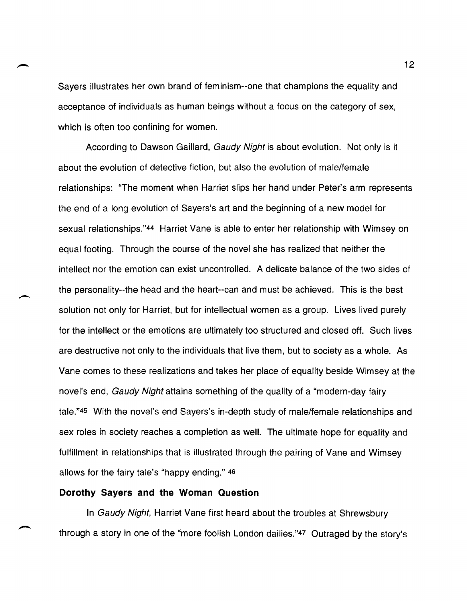Sayers illustrates her own brand of feminism--one that champions the equality and acceptance of individuals as human beings without a focus on the category of sex, which is often too confining for women.

According to Dawson Gaillard, Gaudy Night is about evolution. Not only is it about the evolution of detective fiction, but also the evolution of male/female relationships: "The moment when Harriet slips her hand under Peter's arm represents the end of a long evolution of Sayers's art and the beginning of a new model for sexual relationships."44 Harriet Vane is able to enter her relationship with Wimsey on equal footing. Through the course of the novel she has realized that neither the intellect nor the emotion can exist uncontrolled. A delicate balance of the two sides of the personality--the head and the heart--can and must be achieved. This is the best solution not only for Harriet, but for intellectual women as a group. Lives lived purely for the intellect or the emotions are ultimately too structured and closed off. Such lives are destructive not only to the individuals that live them, but to society as a whole. As Vane comes to these realizations and takes her place of equality beside Wimsey at the novel's end, Gaudy Night attains something of the quality of a "modern-day fairy tale."45 With the novel's end Sayers's in-depth study of male/female relationships and sex roles in society reaches a completion as well. The ultimate hope for equality and fulfillment in relationships that is illustrated through the pairing of Vane and Wimsey allows for the fairy tale's "happy ending." 46

### **Dorothy Sayers and the Woman Question**

In Gaudy Night, Harriet Vane first heard about the troubles at Shrewsbury through a story in one of the "more foolish London dailies."47 Outraged by the story's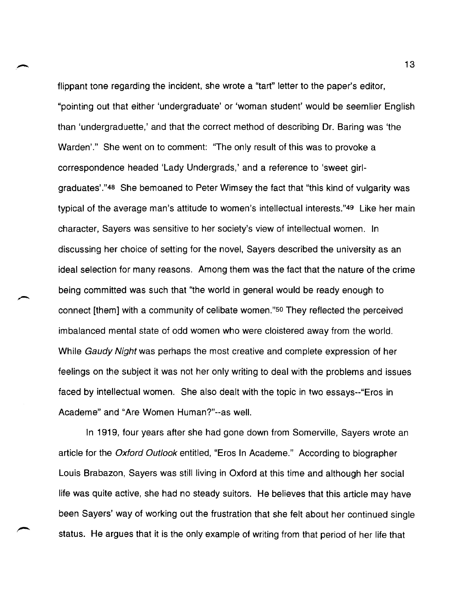flippant tone regarding the incident, she wrote a "tart" letter to the paper's editor, "pointing out that either 'undergraduate' or 'woman student' would be seemlier English than 'undergraduette,' and that the correct method of describing Dr. Baring was 'the Warden'." She went on to comment: "The only result of this was to provoke a correspondence headed 'Lady Undergrads,' and a reference to 'sweet girlgraduates' ."48 She bemoaned to Peter Wimsey the fact that "this kind of vulgarity was typical of the average man's attitude to women's intellectual interests."49 Like her main character, Sayers was sensitive to her society's view of intellectual women. In discussing her choice of setting for the novel, Sayers described the university as an ideal selection for many reasons. Among them was the fact that the nature of the crime being committed was such that "the world in general would be ready enough to connect [them] with a community of celibate women."so They reflected the perceived imbalanced mental state of odd women who were cloistered away from the world. While Gaudy Night was perhaps the most creative and complete expression of her feelings on the subject it was not her only writing to deal with the problems and issues faced by intellectual women. She also dealt with the topic in two essays--"Eros in Academe" and "Are Women Human?"--as well.

In 1919, four years after she had gone down from Somerville, Sayers wrote an article for the Oxford Outlook entitled, "Eros In Academe." According to biographer Louis Brabazon, Sayers was still living in Oxford at this time and although her social life was quite active, she had no steady suitors. He believes that this article may have been Sayers' way of working out the frustration that she felt about her continued single status. He argues that it is the only example of writing from that period of her life that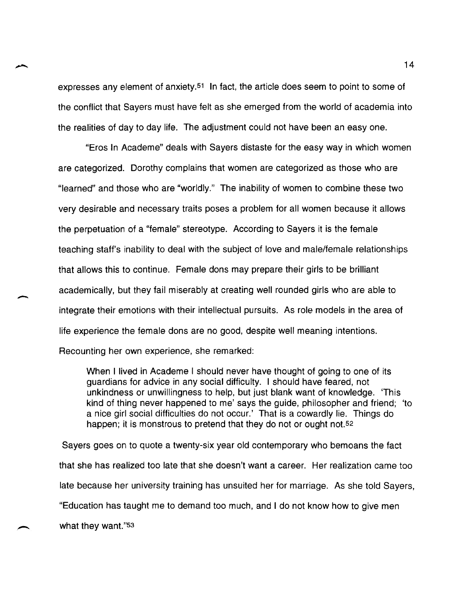expresses any element of anxiety.<sup>51</sup> In fact, the article does seem to point to some of the conflict that Sayers must have felt as she emerged from the world of academia into the realities of day to day life. The adjustment could not have been an easy one.

"Eros In Academe" deals with Sayers distaste for the easy way in which women are categorized. Dorothy complains that women are categorized as those who are "learned" and those who are "worldly." The inability of women to combine these two very desirable and necessary traits poses a problem for all women because it allows the perpetuation of a "female" stereotype. According to Sayers it is the female teaching staff's inability to deal with the subject of love and male/female relationships that allows this to continue. Female dons may prepare their girls to be brilliant academically, but they fail miserably at creating well rounded girls who are able to integrate their emotions with their intellectual pursuits. As role models in the area of life experience the female dons are no good, despite well meaning intentions.

Recounting her own experience, she remarked:

-

When I lived in Academe I should never have thought of going to one of its guardians for advice in any social difficulty. I should have feared, not unkindness or unwillingness to help, but just blank want of knowledge. 'This kind of thing never happened to me' says the guide, philosopher and friend; 'to a nice girl social difficulties do not occur.' That is a cowardly lie. Things do happen; it is monstrous to pretend that they do not or ought not.<sup>52</sup>

Sayers goes on to quote a twenty-six year old contemporary who bemoans the fact that she has realized too late that she doesn't want a career. Her realization came too late because her university training has unsuited her for marriage. As she told Sayers, "Education has taught me to demand too much, and I do not know how to give men what they want."53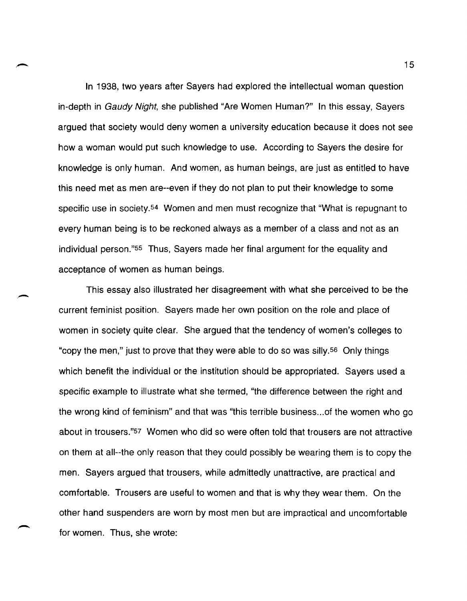In 1938, two years after Sayers had explored the intellectual woman question in-depth in Gaudy Night, she published "Are Women Human?" In this essay, Sayers argued that society would deny women a university education because it does not see how a woman would put such knowledge to use. According to Sayers the desire for knowledge is only human. And women, as human beings, are just as entitled to have this need met as men are--even if they do not plan to put their knowledge to some specific use in society.<sup>54</sup> Women and men must recognize that "What is repugnant to every human being is to be reckoned always as a member of a class and not as an individual person."55 Thus, Sayers made her final argument for the equality and acceptance of women as human beings.

.-

This essay also illustrated her disagreement with what she perceived to be the current feminist position. Sayers made her own position on the role and place of women in society quite clear. She argued that the tendency of women's colleges to "copy the men," just to prove that they were able to do so was silly.56 Only things which benefit the individual or the institution should be appropriated. Sayers used a specific example to illustrate what she termed, "the difference between the right and the wrong kind of feminism" and that was "this terrible business ... of the women who go about in trousers."57 Women who did so were often told that trousers are not attractive on them at all--the only reason that they could possibly be wearing them is to copy the men. Sayers argued that trousers, while admittedly unattractive, are practical and comfortable. Trousers are useful to women and that is why they wear them. On the other hand suspenders are worn by most men but are impractical and uncomfortable for women. Thus, she wrote: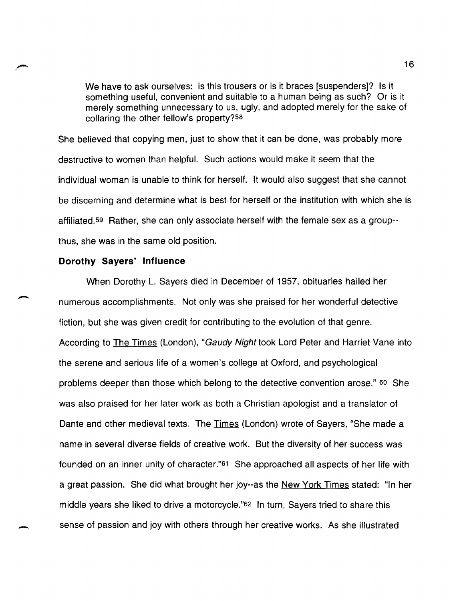We have to ask ourselves: is this trousers or is it braces [suspenders]? Is it something useful, convenient and suitable to a human being as such? Or is it merely something unnecessary to us, ugly, and adopted merely for the sake of collaring the other fellow's property?58

She believed that copying men, just to show that it can be done, was probably more destructive to women than helpful. Such actions would make it seem that the individual woman is unable to think for herself. It would also suggest that she cannot be discerning and determine what is best for herself or the institution with which she is affiliated. 59 Rather, she can only associate herself with the female sex as a group- thus, she was in the same old position.

### **Dorothy Sayers' Influence**

-

When Dorothy L. Sayers died in December of 1957, obituaries hailed her numerous accomplishments. Not only was she praised for her wonderful detective fiction, but she was given credit for contributing to the evolution of that genre. According to The Times (London), "Gaudy Night took Lord Peter and Harriet Vane into the serene and serious life of a women's college at Oxford, and psychological problems deeper than those which belong to the detective convention arose." 60 She was also praised for her later work as both a Christian apologist and a translator of Dante and other medieval texts. The Times (London) wrote of Sayers, "She made a name in several diverse fields of creative work. But the diversity of her success was founded on an inner unity of character."61 She approached all aspects of her life with a great passion. She did what brought her joy--as the New York Times stated: "In her middle years she liked to drive a motorcycle."62 In turn, Sayers tried to share this sense of passion and joy with others through her creative works. As she illustrated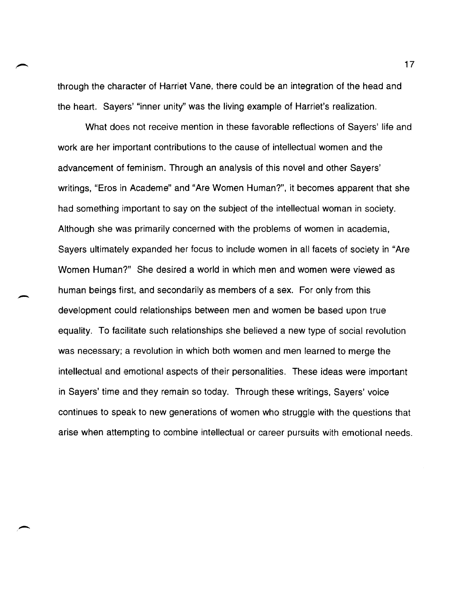through the character of Harriet Vane, there could be an integration of the head and the heart. Sayers' "inner unity" was the living example of Harriet's realization.

What does not receive mention in these favorable reflections of Sayers' life and work are her important contributions to the cause of intellectual women and the advancement of feminism. Through an analysis of this novel and other Sayers' writings, "Eros in Academe" and "Are Women Human?", it becomes apparent that she had something important to say on the subject of the intellectual woman in society. Although she was primarily concerned with the problems of women in academia, Sayers ultimately expanded her focus to include women in all facets of society in "Are Women Human?" She desired a world in which men and women were viewed as human beings first, and secondarily as members of a sex. For only from this development could relationships between men and women be based upon true equality. To facilitate such relationships she believed a new type of social revolution was necessary; a revolution in which both women and men learned to merge the intellectual and emotional aspects of their personalities. These ideas were important in Sayers' time and they remain so today. Through these writings, Sayers' voice continues to speak to new generations of women who struggle with the questions that arise when attempting to combine intellectual or career pursuits with emotional needs.

 $\overline{\phantom{0}}$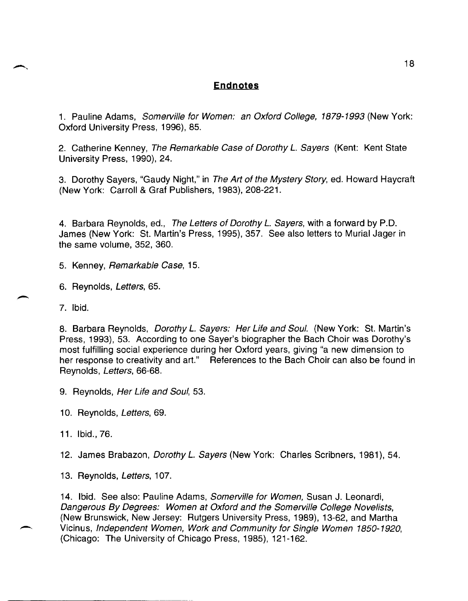# **Endnotes**

1. Pauline Adams, Somerville for Women: an Oxford College, 1879-1993 (New York: Oxford University Press, 1996), 85.

2. Catherine Kenney, The Remarkable Case of Dorothy *L.* Sayers (Kent: Kent State University Press, 1990), 24.

3. Dorothy Sayers, "Gaudy Night," in The Art of the Mystery Story, ed. Howard Haycraft (New York: Carroll & Graf Publishers, 1983),208-221.

4. Barbara Reynolds, ed., The Letters of Dorothy *L.* Sayers, with a forward by P.D. James (New York: St. Martin's Press, 1995), 357. See also letters to Murial Jager in the same volume, 352, 360.

5. Kenney, Remarkable Case, 15.

6. Reynolds, Letters, 65.

7. Ibid.

8. Barbara Reynolds, Dorothy *L.* Sayers: Her Life and Soul. (New York: St. Martin's Press, 1993), 53. According to one Sayer's biographer the Bach Choir was Dorothy's most fulfilling social experience during her Oxford years, giving "a new dimension to her response to creativity and art." References to the Bach Choir can also be found in Reynolds, Letters, 66-68.

9. Reynolds, Her Life and Soul, 53.

10. Reynolds, Letters, 69.

11. Ibid., 76.

12. James Brabazon, *Dorothy L. Sayers* (New York: Charles Scribners, 1981), 54.

13. Reynolds, Letters, 107.

14. Ibid. See also: Pauline Adams, Somerville for Women, Susan J. Leonardi, Dangerous By Degrees: Women at Oxford and the Somerville College Novelists, (New Brunswick, New Jersey: Rutgers University Press, 1989), 13-62, and Martha Vicinus, Independent Women, Work and Community for Single Women 1850-1920, (Chicago: The University of Chicago Press, 1985), 121-162.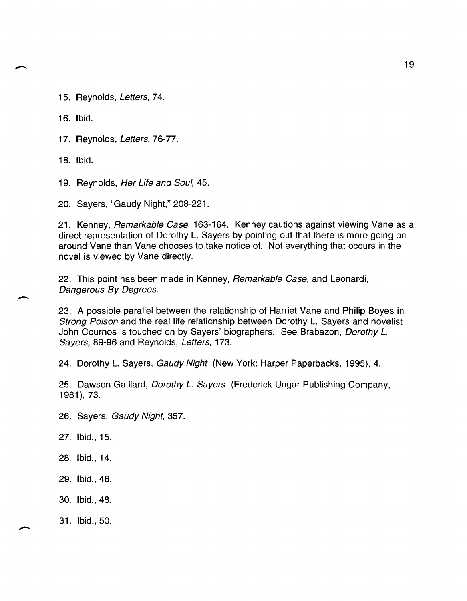15. Reynolds, Letters, 74.

16. Ibid.

17. Reynolds, Letters, 76-77.

18. Ibid.

-

19. Reynolds, Her Life and Soul, 45.

20. Sayers, "Gaudy Night," 208-221.

21. Kenney, Remarkable Case, 163-164. Kenney cautions against viewing Vane as a direct representation of Dorothy L. Sayers by pointing out that there is more going on around Vane than Vane chooses to take notice of. Not everything that occurs in the novel is viewed by Vane directly.

22. This point has been made in Kenney, Remarkable Case, and Leonardi, Dangerous By Degrees.

23. A possible parallel between the relationship of Harriet Vane and Philip Boyes in Strong Poison and the real life relationship between Dorothy L. Sayers and novelist John Cournos is touched on by Sayers' biographers. See Brabazon, Dorothy L. Sayers, 89-96 and Reynolds, Letters, 173.

24. Dorothy L. Sayers, Gaudy Night (New York: Harper Paperbacks, 1995), 4.

25. Dawson Gaillard, *Dorothy L. Sayers* (Frederick Ungar Publishing Company, 1981),73.

26. Sayers, Gaudy Night, 357.

27. Ibid., 15.

28. Ibid., 14.

29. Ibid., 46.

30. Ibid., 48.

31. Ibid., 50.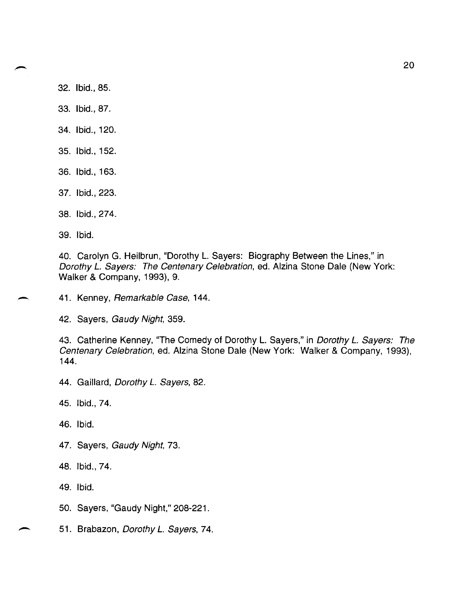32. Ibid., 85.

33. Ibid., 87.

- 34. Ibid., 120.
- 35. Ibid., 152.
- 36. Ibid., 163.

37. Ibid., 223.

38. Ibid., 274.

39. Ibid.

40. Carolyn G. Heilbrun, "Dorothy L. Sayers: Biography Between the Lines," in Dorothy *L.* Sayers: The Centenary Celebration, ed. Alzina Stone Dale (New York: Walker & Company, 1993), 9.

41. Kenney, Remarkable Case, 144.

42. Sayers, Gaudy Night, 359.

43. Catherine Kenney, "The Comedy of Dorothy L. Sayers," in Dorothy *L.* Sayers: The Centenary Celebration, ed. Alzina Stone Dale (New York: Walker & Company, 1993), 144.

44. Gaillard, Dorothy L. Sayers, 82.

45. Ibid., 74.

46. Ibid.

- 47. Sayers, Gaudy Night, 73.
- 48. Ibid., 74.

49. Ibid.

- 50. Sayers, "Gaudy Night," 208-221.
- 51. Brabazon, Dorothy L. Sayers, 74.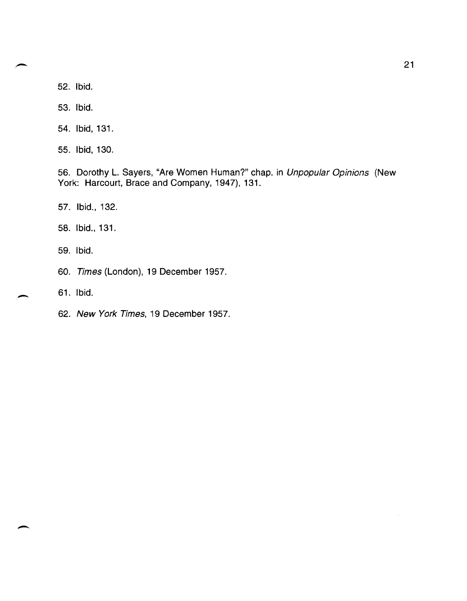52. Ibid.

53. Ibid.

54. Ibid, 131.

55. Ibid, 130.

56. Dorothy L. Sayers, "Are Women Human?" chap. in Unpopular Opinions (New York: Harcourt, Brace and Company, 1947), 131.

57. Ibid., 132.

58. Ibid., 131.

59. Ibid.

60. Times (London), 19 December 1957.

61. Ibid.

-

 $\overline{\phantom{a}}$ 

62. New York Times, 19 December 1957.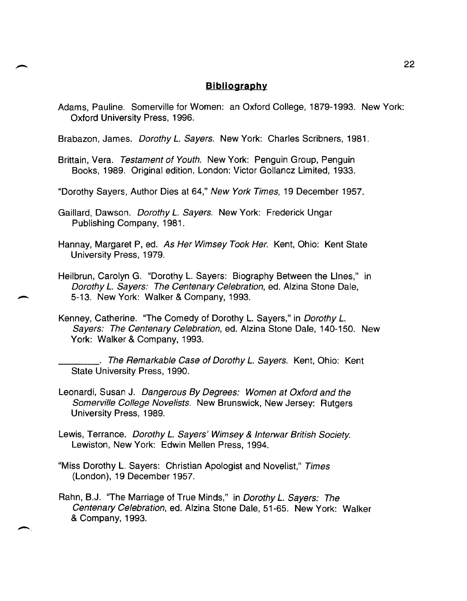## **Bibliography**

- Adams, Pauline. Somerville for Women: an Oxford College, 1879-1993. New York: Oxford University Press, 1996.
- Brabazon, James. Dorothy *L.* Sayers. New York: Charles Scribners, 1981.
- Brittain, Vera. Testament of Youth. New York: Penguin Group, Penguin Books, 1989. Original edition, London: Victor Gollancz Limited, 1933.
- "Dorothy Sayers, Author Dies at 64," New York Times, 19 December 1957.
- Gaillard, Dawson. Dorothy *L.* Sayers. New York: Frederick Ungar Publishing Company, 1981.
- Hannay, Margaret P, ed. As Her Wimsey Took Her. Kent, Ohio: Kent State University Press, 1979.
- Heilbrun, Carolyn G. "Dorothy L. Sayers: Biography Between the Lines," in Dorothy *L.* Sayers: The Centenary Celebration, ed. Alzina Stone Dale, - 5-13. New York: Walker & Company, 1993.
- Kenney, Catherine. "The Comedy of Dorothy L. Sayers," in Dorothy *L.*  Sayers: The Centenary Celebration, ed. Alzina Stone Dale, 140-150. New York: Walker & Company, 1993.
	- \_\_\_\_ . The Remarkable Case of Dorothy *L.* Sayers. Kent, Ohio: Kent State University Press, 1990.
- Leonardi, Susan J. Dangerous By Degrees: Women at Oxford and the Somerville College Novelists. New Brunswick, New Jersey: Rutgers University Press, 1989.
- Lewis, Terrance. Dorothy *L.* Sayers' Wimsey & Interwar British Society. Lewiston, New York: Edwin Mellen Press, 1994.
- "Miss Dorothy L. Sayers: Christian Apologist and Novelist," Times (London), 19 December 1957.
- Rahn, B.J. "The Marriage of True Minds," in Dorothy *L.* Sayers: The Centenary Celebration, ed. Alzina Stone Dale, 51-65. New York: Walker & Company, 1993.